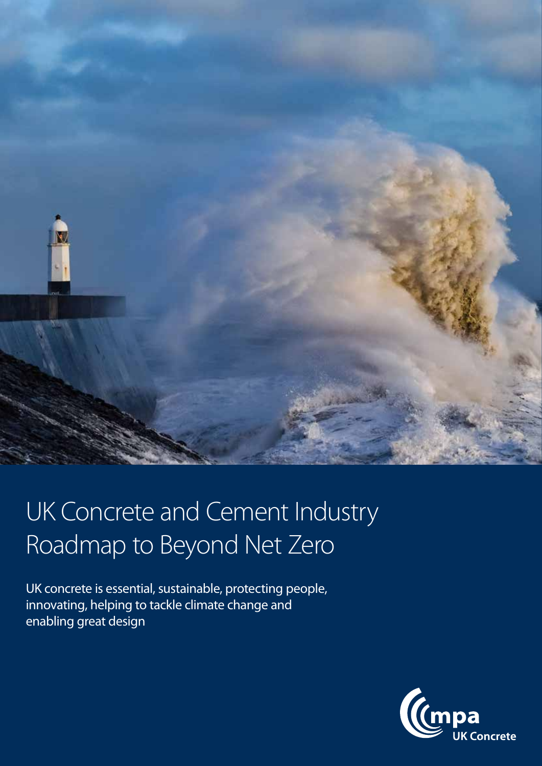

# UK Concrete and Cement Industry Roadmap to Beyond Net Zero

UK concrete is essential, sustainable, protecting people, innovating, helping to tackle climate change and enabling great design

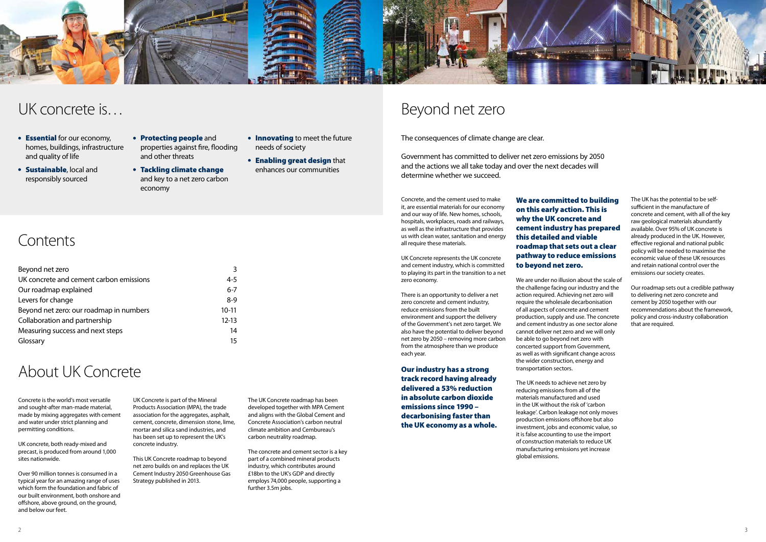Concrete, and the cement used to make it, are essential materials for our economy and our way of life. New homes, schools, hospitals, workplaces, roads and railways, as well as the infrastructure that provides us with clean water, sanitation and energy all require these materials.

UK Concrete represents the UK concrete and cement industry, which is committed to playing its part in the transition to a net zero economy.

There is an opportunity to deliver a net zero concrete and cement industry, reduce emissions from the built environment and support the delivery of the Government's net zero target. We also have the potential to deliver beyond net zero by 2050 – removing more carbon from the atmosphere than we produce each year.

Our industry has a strong track record having already delivered a 53% reduction in absolute carbon dioxide emissions since 1990 – decarbonising faster than the UK economy as a whole.

# Beyond net zero

The consequences of climate change are clear.

Government has committed to deliver net zero emissions by 2050 and the actions we all take today and over the next decades will determine whether we succeed.

### We are committed to building on this early action. This is why the UK concrete and cement industry has prepared this detailed and viable roadmap that sets out a clear pathway to reduce emissions to beyond net zero.

- **Essential** for our economy, homes, buildings, infrastructure and quality of life
- **Sustainable, local and** responsibly sourced
- Protecting people and properties against fire, flooding and other threats
- Tackling climate change and key to a net zero carbon economy
- **Innovating to meet the future** needs of society
- **Enabling great design that** enhances our communities

# **Contents**

We are under no illusion about the scale of the challenge facing our industry and the action required. Achieving net zero will require the wholesale decarbonisation of all aspects of concrete and cement production, supply and use. The concrete and cement industry as one sector alone cannot deliver net zero and we will only be able to go beyond net zero with concerted support from Government, as well as with significant change across the wider construction, energy and transportation sectors.

Our roadmap sets out a credible pathway to delivering net zero concrete and cement by 2050 together with our recommendations about the framework, policy and cross-industry collaboration that are required.

The UK needs to achieve net zero by reducing emissions from all of the materials manufactured and used in the UK without the risk of 'carbon leakage'. Carbon leakage not only moves production emissions offshore but also investment, jobs and economic value, so it is false accounting to use the import of construction materials to reduce UK manufacturing emissions yet increase global emissions.



## UK concrete is…

| Beyond net zero                         | 3         |
|-----------------------------------------|-----------|
| UK concrete and cement carbon emissions | $4 - 5$   |
| Our roadmap explained                   | $6 - 7$   |
| Levers for change                       | $8-9$     |
| Beyond net zero: our roadmap in numbers | $10 - 11$ |
| Collaboration and partnership           | $12 - 13$ |
| Measuring success and next steps        | 14        |
| Glossary                                | 15        |

The UK has the potential to be selfsufficient in the manufacture of concrete and cement, with all of the key raw geological materials abundantly available. Over 95% of UK concrete is already produced in the UK. However, effective regional and national public policy will be needed to maximise the economic value of these UK resources and retain national control over the emissions our society creates.

Concrete is the world's most versatile and sought-after man-made material, made by mixing aggregates with cement and water under strict planning and permitting conditions.

UK concrete, both ready-mixed and precast, is produced from around 1,000 sites nationwide.

Over 90 million tonnes is consumed in a typical year for an amazing range of uses which form the foundation and fabric of our built environment, both onshore and offshore, above ground, on the ground, and below our feet.

# About UK Concrete

UK Concrete is part of the Mineral Products Association (MPA), the trade association for the aggregates, asphalt, cement, concrete, dimension stone, lime, mortar and silica sand industries, and has been set up to represent the UK's concrete industry.

This UK Concrete roadmap to beyond net zero builds on and replaces the UK Cement Industry 2050 Greenhouse Gas Strategy published in 2013.

The UK Concrete roadmap has been developed together with MPA Cement and aligns with the Global Cement and Concrete Association's carbon neutral climate ambition and Cembureau's carbon neutrality roadmap.

The concrete and cement sector is a key part of a combined mineral products industry, which contributes around £18bn to the UK's GDP and directly employs 74,000 people, supporting a further 3.5m jobs.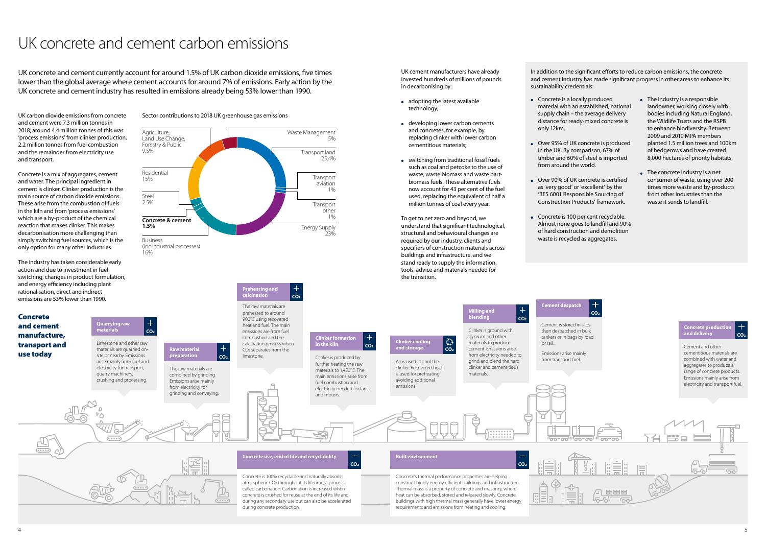UK carbon dioxide emissions from concrete and cement were 7.3 million tonnes in 2018; around 4.4 million tonnes of this was 'process emissions' from clinker production, 2.2 million tonnes from fuel combustion and the remainder from electricity use and transport.

Concrete is a mix of aggregates, cement and water. The principal ingredient in cement is clinker. Clinker production is the main source of carbon dioxide emissions. These arise from the combustion of fuels in the kiln and from 'process emissions' which are a by-product of the chemical reaction that makes clinker. This makes decarbonisation more challenging than simply switching fuel sources, which is the only option for many other industries.

- adopting the latest available technology;
- developing lower carbon cements and concretes, for example, by replacing clinker with lower carbon cementitious materials;
- switching from traditional fossil fuels such as coal and petcoke to the use of waste, waste biomass and waste partbiomass fuels. These alternative fuels now account for 43 per cent of the fuel used, replacing the equivalent of half a million tonnes of coal every year.

The industry has taken considerable early action and due to investment in fuel switching, changes in product formulation, and energy efficiency including plant rationalisation, direct and indirect emissions are 53% lower than 1990.

UK concrete and cement currently account for around 1.5% of UK carbon dioxide emissions, five times lower than the global average where cement accounts for around 7% of emissions. Early action by the UK concrete and cement industry has resulted in emissions already being 53% lower than 1990.<br>Concrete is a locally produced

UK cement manufacturers have already invested hundreds of millions of pounds in decarbonising by:

To get to net zero and beyond, we understand that significant technological, structural and behavioural changes are required by our industry, clients and specifiers of construction materials across buildings and infrastructure, and we stand ready to supply the information, tools, advice and materials needed for the transition.

# UK concrete and cement carbon emissions

- material with an established, national supply chain – the average delivery distance for ready-mixed concrete is only 12km.
- Over 95% of UK concrete is produced in the UK. By comparison, 67% of timber and 60% of steel is imported from around the world.
- Over 90% of UK concrete is certified as 'very good' or 'excellent' by the 'BES 6001 Responsible Sourcing of Construction Products' framework.
- Concrete is 100 per cent recyclable. waste is recycled as aggregates.
- Almost none goes to landfill and 90% of hard construction and demolition
- The industry is a responsible landowner, working closely with bodies including Natural England, the Wildlife Trusts and the RSPB to enhance biodiversity. Between 2009 and 2019 MPA members planted 1.5 million trees and 100km of hedgerows and have created 8,000 hectares of priority habitats.
- The concrete industry is a net consumer of waste, using over 200 times more waste and by-products from other industries than the waste it sends to landfill.

In addition to the significant efforts to reduce carbon emissions, the concrete and cement industry has made significant progress in other areas to enhance its sustainability credentials:

Concrete and cement



Sector contributions to 2018 UK greenhouse gas emissions

**Quarrying raw materials**

 $|$  CO<sub>2</sub>

 $\pm$ 



**Preheating and calcination**

The raw materials are preheated to around 900°C using recovered heat and fuel. The main emissions are from fuel

**CO2**

gypsum and other



| <b>Milling and</b>     |                 |
|------------------------|-----------------|
| blending               | CO <sub>2</sub> |
| Clinker is ground with |                 |

then despatched in bulk tankers or in bags by road or rail.

Emissions arise mainly from transport fuel.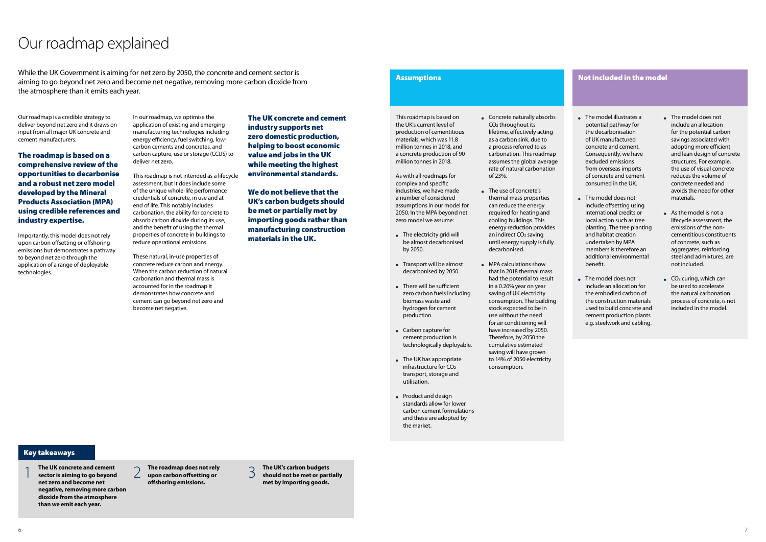Our roadmap is a credible strategy to deliver beyond net zero and it draws on input from all major UK concrete and cement manufacturers.

The roadmap is based on a comprehensive review of the opportunities to decarbonise and a robust net zero model developed by the Mineral Products Association (MPA) using credible references and industry expertise.

Importantly, this model does not rely upon carbon offsetting or offshoring emissions but demonstrates a pathway to beyond net zero through the application of a range of deployable technologies.

# Our roadmap explained

In our roadmap, we optimise the application of existing and emerging manufacturing technologies including energy efficiency, fuel switching, lowcarbon cements and concretes, and carbon capture, use or storage (CCUS) to deliver net zero.

This roadmap is not intended as a lifecycle assessment, but it does include some of the unique whole-life performance credentials of concrete, in use and at end of life. This notably includes carbonation, the ability for concrete to absorb carbon dioxide during its use, and the benefit of using the thermal properties of concrete in buildings to reduce operational emissions.

- The electricity grid will be almost decarbonised by 2050.
- Transport will be almost decarbonised by 2050.
- There will be sufficient zero carbon fuels including biomass waste and hydrogen for cement production.
- Carbon capture for cement production is technologically deployable.
- The UK has appropriate infrastructure for CO2 transport, storage and utilisation.
- Product and design standards allow for lower carbon cement formulations and these are adopted by the market.

These natural, in-use properties of concrete reduce carbon and energy. When the carbon reduction of natural carbonation and thermal mass is accounted for in the roadmap it demonstrates how concrete and cement can go beyond net zero and become net negative.

This roadmap is based on the UK's current level of production of cementitious materials, which was 11.8 million tonnes in 2018, and a concrete production of 90 million tonnes in 2018.

- Concrete naturally absorbs CO2 throughout its lifetime, effectively acting as a carbon sink, due to a process referred to as carbonation. This roadmap assumes the global average rate of natural carbonation of 23%.
- The use of concrete's thermal mass properties can reduce the energy required for heating and cooling buildings. This energy reduction provides an indirect CO<sub>2</sub> saving until energy supply is fully decarbonised.
- MPA calculations show that in 2018 thermal mass had the potential to result in a 0.26% year on year saving of UK electricity consumption. The building stock expected to be in use without the need for air conditioning will have increased by 2050. Therefore, by 2050 the cumulative estimated saving will have grown to 14% of 2050 electricity consumption.

As with all roadmaps for complex and specific industries, we have made a number of considered assumptions in our model for 2050. In the MPA beyond net zero model we assume:

- The model illustrates a potential pathway for the decarbonisation of UK manufactured concrete and cement. Consequently, we have excluded emissions from overseas imports of concrete and cement consumed in the UK.
- The model does not include offsetting using international credits or local action such as tree planting. The tree planting and habitat creation undertaken by MPA members is therefore an additional environmental benefit.
- The model does not include an allocation for the embodied carbon of the construction materials used to build concrete and cement production plants e.g. steelwork and cabling.
- The model does not include an allocation for the potential carbon savings associated with adopting more efficient and lean design of concrete structures. For example, the use of visual concrete reduces the volume of concrete needed and avoids the need for other materials.
- As the model is not a lifecycle assessment, the emissions of the noncementitious constituents of concrete, such as aggregates, reinforcing steel and admixtures, are not included.
- $\bullet$  CO<sub>2</sub> curing, which can be used to accelerate the natural carbonation process of concrete, is not included in the model.

#### Not included in the model

The UK concrete and cement industry supports net zero domestic production, helping to boost economic value and jobs in the UK while meeting the highest environmental standards.

We do not believe that the UK's carbon budgets should be met or partially met by importing goods rather than manufacturing construction materials in the UK.

#### **Assumptions**

#### Key takeaways

- 1 **The UK concrete and cement sector is aiming to go beyond net zero and become net negative, removing more carbon dioxide from the atmosphere than we emit each year.**
- 2 **The roadmap does not rely upon carbon offsetting or offshoring emissions.**
- 3 **The UK's carbon budgets should not be met or partially met by importing goods.**

While the UK Government is aiming for net zero by 2050, the concrete and cement sector is aiming to go beyond net zero and become net negative, removing more carbon dioxide from the atmosphere than it emits each year.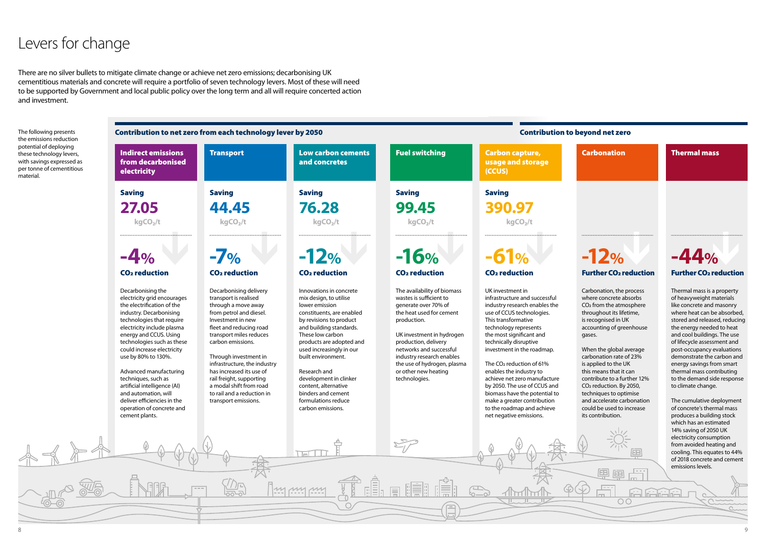#### **D** beyond net zero

#### Carbonation **Thermal mass**

| The following presents<br>the emissions reduction                                                                         | Contribution to net zero from each technology lever by 2050                                                                                                                                                                                                                                                                                                                                                                                                              |                                                                                                                                                                                                                                                                                                                                                                                                     |                                                                                                                                                                                                                                                                                                                                                                                              | <b>Contribution to</b>                                                                                                                                                                                                                                                                                         |                                                                                                                                                                                                                                                                                                                                                                                                                                                                                                                 |
|---------------------------------------------------------------------------------------------------------------------------|--------------------------------------------------------------------------------------------------------------------------------------------------------------------------------------------------------------------------------------------------------------------------------------------------------------------------------------------------------------------------------------------------------------------------------------------------------------------------|-----------------------------------------------------------------------------------------------------------------------------------------------------------------------------------------------------------------------------------------------------------------------------------------------------------------------------------------------------------------------------------------------------|----------------------------------------------------------------------------------------------------------------------------------------------------------------------------------------------------------------------------------------------------------------------------------------------------------------------------------------------------------------------------------------------|----------------------------------------------------------------------------------------------------------------------------------------------------------------------------------------------------------------------------------------------------------------------------------------------------------------|-----------------------------------------------------------------------------------------------------------------------------------------------------------------------------------------------------------------------------------------------------------------------------------------------------------------------------------------------------------------------------------------------------------------------------------------------------------------------------------------------------------------|
| potential of deploying<br>these technology levers,<br>with savings expressed as<br>per tonne of cementitious<br>material. | <b>Indirect emissions</b><br>from decarbonised<br>electricity                                                                                                                                                                                                                                                                                                                                                                                                            | <b>Transport</b>                                                                                                                                                                                                                                                                                                                                                                                    | <b>Low carbon cements</b><br>and concretes                                                                                                                                                                                                                                                                                                                                                   | <b>Fuel switching</b>                                                                                                                                                                                                                                                                                          | <b>Carbon capture,</b><br>usage and storage<br>(CCUS)                                                                                                                                                                                                                                                                                                                                                                                                                                                           |
|                                                                                                                           | <b>Saving</b>                                                                                                                                                                                                                                                                                                                                                                                                                                                            | <b>Saving</b>                                                                                                                                                                                                                                                                                                                                                                                       | <b>Saving</b>                                                                                                                                                                                                                                                                                                                                                                                | <b>Saving</b>                                                                                                                                                                                                                                                                                                  | <b>Saving</b>                                                                                                                                                                                                                                                                                                                                                                                                                                                                                                   |
|                                                                                                                           | 27.05                                                                                                                                                                                                                                                                                                                                                                                                                                                                    | 44.45                                                                                                                                                                                                                                                                                                                                                                                               | 76.28                                                                                                                                                                                                                                                                                                                                                                                        | 99.45                                                                                                                                                                                                                                                                                                          | 390.97                                                                                                                                                                                                                                                                                                                                                                                                                                                                                                          |
|                                                                                                                           | kgCO <sub>2</sub> /t                                                                                                                                                                                                                                                                                                                                                                                                                                                     | kgCO <sub>2</sub> /t                                                                                                                                                                                                                                                                                                                                                                                | kgCO <sub>2</sub> /t                                                                                                                                                                                                                                                                                                                                                                         | kgCO <sub>2</sub> /t                                                                                                                                                                                                                                                                                           | kgCO <sub>2</sub> /t                                                                                                                                                                                                                                                                                                                                                                                                                                                                                            |
|                                                                                                                           | $-4%$                                                                                                                                                                                                                                                                                                                                                                                                                                                                    | $-7%$                                                                                                                                                                                                                                                                                                                                                                                               | $-12%$                                                                                                                                                                                                                                                                                                                                                                                       | $-16%$                                                                                                                                                                                                                                                                                                         | $-61%$                                                                                                                                                                                                                                                                                                                                                                                                                                                                                                          |
|                                                                                                                           | <b>CO<sub>2</sub></b> reduction                                                                                                                                                                                                                                                                                                                                                                                                                                          | CO <sub>2</sub> reduction                                                                                                                                                                                                                                                                                                                                                                           | <b>CO<sub>2</sub></b> reduction                                                                                                                                                                                                                                                                                                                                                              | <b>CO<sub>2</sub></b> reduction                                                                                                                                                                                                                                                                                | <b>CO<sub>2</sub></b> reduction                                                                                                                                                                                                                                                                                                                                                                                                                                                                                 |
|                                                                                                                           | Decarbonising the<br>electricity grid encourages<br>the electrification of the<br>industry. Decarbonising<br>technologies that require<br>electricity include plasma<br>energy and CCUS. Using<br>technologies such as these<br>could increase electricity<br>use by 80% to 130%.<br>Advanced manufacturing<br>techniques, such as<br>artificial intelligence (AI)<br>and automation, will<br>deliver efficiencies in the<br>operation of concrete and<br>cement plants. | Decarbonising delivery<br>transport is realised<br>through a move away<br>from petrol and diesel.<br>Investment in new<br>fleet and reducing road<br>transport miles reduces<br>carbon emissions.<br>Through investment in<br>infrastructure, the industry<br>has increased its use of<br>rail freight, supporting<br>a modal shift from road<br>to rail and a reduction in<br>transport emissions. | Innovations in concrete<br>mix design, to utilise<br>lower emission<br>constituents, are enabled<br>by revisions to product<br>and building standards.<br>These low carbon<br>products are adopted and<br>used increasingly in our<br>built environment.<br>Research and<br>development in clinker<br>content, alternative<br>binders and cement<br>formulations reduce<br>carbon emissions. | The availability of biomass<br>wastes is sufficient to<br>generate over 70% of<br>the heat used for cement<br>production.<br>UK investment in hydrogen<br>production, delivery<br>networks and successful<br>industry research enables<br>the use of hydrogen, plasma<br>or other new heating<br>technologies. | UK investment in<br>infrastructure and successful<br>industry research enables the<br>use of CCUS technologies.<br>This transformative<br>technology represents<br>the most significant and<br>technically disruptive<br>investment in the roadmap.<br>The CO <sub>2</sub> reduction of 61%<br>enables the industry to<br>achieve net zero manufacture<br>by 2050. The use of CCUS and<br>biomass have the potential to<br>make a greater contribution<br>to the roadmap and achieve<br>net negative emissions. |
|                                                                                                                           |                                                                                                                                                                                                                                                                                                                                                                                                                                                                          |                                                                                                                                                                                                                                                                                                                                                                                                     | \ ImL                                                                                                                                                                                                                                                                                                                                                                                        |                                                                                                                                                                                                                                                                                                                |                                                                                                                                                                                                                                                                                                                                                                                                                                                                                                                 |
|                                                                                                                           |                                                                                                                                                                                                                                                                                                                                                                                                                                                                          |                                                                                                                                                                                                                                                                                                                                                                                                     | $\frac{1}{2}$                                                                                                                                                                                                                                                                                                                                                                                | 鳫                                                                                                                                                                                                                                                                                                              | $\mathcal{F}$                                                                                                                                                                                                                                                                                                                                                                                                                                                                                                   |

Carbonation, the process where concrete absorbs CO2 from the atmosphere throughout its lifetime, is recognised in UK accounting of greenhouse gases.

When the global average carbonation rate of 23% is applied to the UK this means that it can contribute to a further 12% CO2 reduction. By 2050, techniques to optimise and accelerate carbonation could be used to increase its contribution.

画面

 $\overline{O}O$ 

亩

Thermal mass is a property of heavyweight materials like concrete and masonry where heat can be absorbed, stored and released, reducing the energy needed to heat and cool buildings. The use of lifecycle assessment and post-occupancy evaluations demonstrate the carbon and energy savings from smart thermal mass contributing to the demand side response to climate change.

The cumulative deployment of concrete's thermal mass produces a building stock which has an estimated 14% saving of 2050 UK electricity consumption from avoided heating and cooling. This equates to 44% of 2018 concrete and cement emissions levels.

# Levers for change

There are no silver bullets to mitigate climate change or achieve net zero emissions; decarbonising UK cementitious materials and concrete will require a portfolio of seven technology levers. Most of these will need to be supported by Government and local public policy over the long term and all will require concerted action and investment.

# **-12%**

#### Further CO2 reduction Further CO2 reduction

# **-44%**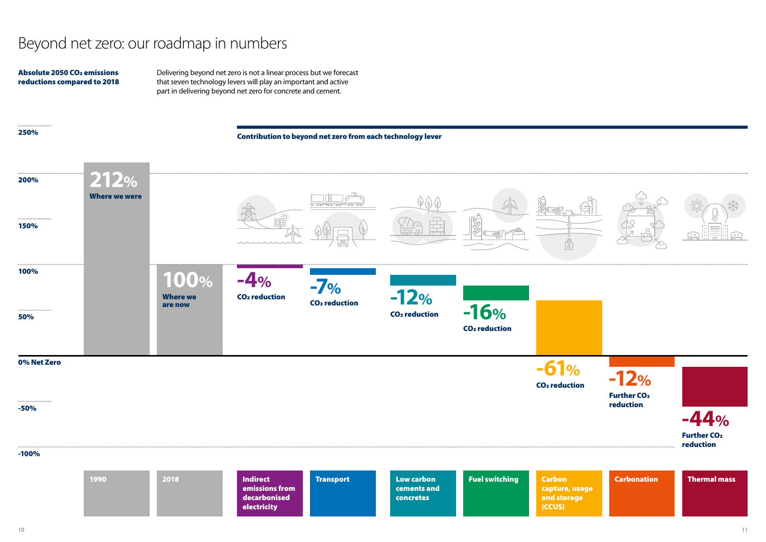

Carbonation Thermal mass

-100%

### 250%



Further CO2 reduction



Contribution to beyond net zero from each technology lever

# Beyond net zero: our roadmap in numbers

Delivering beyond net zero is not a linear process but we forecast that seven technology levers will play an important and active part in delivering beyond net zero for concrete and cement.

#### Absolute 2050 CO2 emissions reductions compared to 2018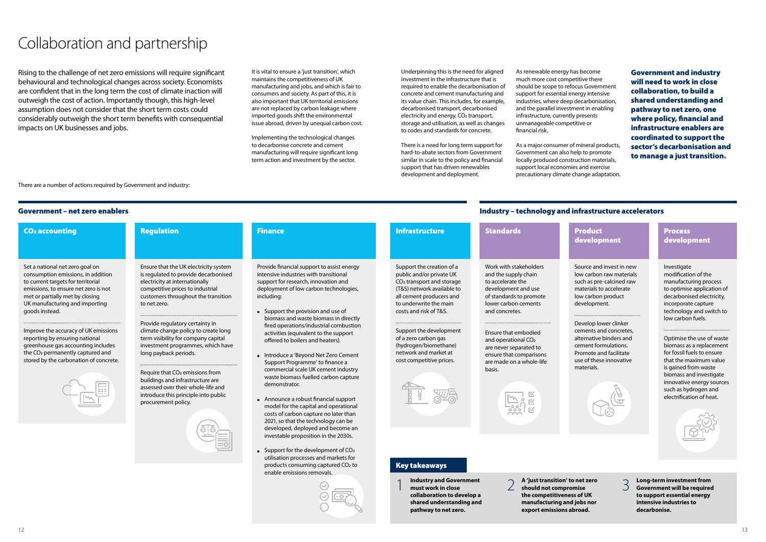Underpinning this is the need for aligned investment in the infrastructure that is required to enable the decarbonisation of concrete and cement manufacturing and its value chain. This includes, for example, decarbonised transport, decarbonised electricity and energy, CO<sub>2</sub> transport, storage and utilisation, as well as changes to codes and standards for concrete.

There is a need for long term support for hard-to-abate sectors from Government similar in scale to the policy and financial support that has driven renewables development and deployment.

# Collaboration and partnership

Rising to the challenge of net zero emissions will require significant behavioural and technological changes across society. Economists are confident that in the long term the cost of climate inaction will outweigh the cost of action. Importantly though, this high-level assumption does not consider that the short term costs could considerably outweigh the short term benefits with consequential impacts on UK businesses and jobs.

As renewable energy has become much more cost competitive there should be scope to refocus Government support for essential energy intensive industries, where deep decarbonisation, and the parallel investment in enabling infrastructure, currently presents unmanageable competitive or financial risk.

As a major consumer of mineral products, Government can also help to promote locally produced construction materials, support local economies and exercise precautionary climate change adaptation.

#### **Process** development

Government and industry will need to work in close collaboration, to build a shared understanding and pathway to net zero, one where policy, financial and infrastructure enablers are coordinated to support the sector's decarbonisation and to manage a just transition.

#### Government – net zero enablers

There are a number of actions required by Government and industry:

#### Industry – technology and infrastructure accelerators

## ment

d invest in new n raw materials e-calcined raw to accelerate n product ent.

wer clinker nd concretes. binders and rmulations. nd facilitate se innovative



| ounting                                                                                                                                                                                                                                                                                                                    | <b>Regulation</b>                                                                                                                                                                                                                                                                                                                                                                                                                                                                                                                                                                  | <b>Finance</b>                                                                                                                                                                                                                                                                                                                                                                                                                                                                                                                                                                                                                                                                                                                                                                                                        | <b>Infrastructure</b>                                                                                                                                                                                                                                                                                                                         | <b>Standards</b>                                                                                                                                                                                                                                                                                                                        | <b>Product</b><br>develop                                                                                                                                                                     |
|----------------------------------------------------------------------------------------------------------------------------------------------------------------------------------------------------------------------------------------------------------------------------------------------------------------------------|------------------------------------------------------------------------------------------------------------------------------------------------------------------------------------------------------------------------------------------------------------------------------------------------------------------------------------------------------------------------------------------------------------------------------------------------------------------------------------------------------------------------------------------------------------------------------------|-----------------------------------------------------------------------------------------------------------------------------------------------------------------------------------------------------------------------------------------------------------------------------------------------------------------------------------------------------------------------------------------------------------------------------------------------------------------------------------------------------------------------------------------------------------------------------------------------------------------------------------------------------------------------------------------------------------------------------------------------------------------------------------------------------------------------|-----------------------------------------------------------------------------------------------------------------------------------------------------------------------------------------------------------------------------------------------------------------------------------------------------------------------------------------------|-----------------------------------------------------------------------------------------------------------------------------------------------------------------------------------------------------------------------------------------------------------------------------------------------------------------------------------------|-----------------------------------------------------------------------------------------------------------------------------------------------------------------------------------------------|
| onal net zero goal on<br>ion emissions, in addition<br>targets for territorial<br>, to ensure net zero is not<br>rtially met by closing<br>acturing and importing<br>tead.<br>he accuracy of UK emissions<br>by ensuring national<br>se gas accounting includes<br>ermanently captured and<br>the carbonation of concrete. | Ensure that the UK electricity system<br>is regulated to provide decarbonised<br>electricity at internationally<br>competitive prices to industrial<br>customers throughout the transition<br>to net zero.<br>Provide regulatory certainty in<br>climate change policy to create long<br>term visibility for company capital<br>investment programmes, which have<br>long payback periods.<br>Require that CO <sub>2</sub> emissions from<br>buildings and infrastructure are<br>assessed over their whole-life and<br>introduce this principle into public<br>procurement policy. | Provide financial support to assist energy<br>intensive industries with transitional<br>support for research, innovation and<br>deployment of low carbon technologies,<br>including:<br>• Support the provision and use of<br>biomass and waste biomass in directly<br>fired operations/industrial combustion<br>activities (equivalent to the support<br>offered to boilers and heaters).<br>• Introduce a 'Beyond Net Zero Cement<br>Support Programme' to finance a<br>commercial scale UK cement industry<br>waste biomass fuelled carbon capture<br>demonstrator.<br>• Announce a robust financial support<br>model for the capital and operational<br>costs of carbon capture no later than<br>2021, so that the technology can be<br>developed, deployed and become an<br>investable proposition in the 2030s. | Support the creation of a<br>public and/or private UK<br>CO <sub>2</sub> transport and storage<br>(T&S) network available to<br>all cement producers and<br>to underwrite the main<br>costs and risk of T&S.<br>Support the development<br>of a zero carbon gas<br>(hydrogen/biomethane)<br>network and market at<br>cost competitive prices. | Work with stakeholders<br>and the supply chain<br>to accelerate the<br>development and use<br>of standards to promote<br>lower carbon cements<br>and concretes.<br>Ensure that embodied<br>and operational CO <sub>2</sub><br>are never separated to<br>ensure that comparisons<br>are made on a whole-life<br>basis.<br>$\circ$<br>000 | Source and<br>low carbon<br>such as pre-<br>materials to<br>low carbon<br>developme<br><br>Develop low<br>cements an<br>alternative<br>cement for<br>Promote an<br>use of these<br>materials. |
|                                                                                                                                                                                                                                                                                                                            |                                                                                                                                                                                                                                                                                                                                                                                                                                                                                                                                                                                    | • Support for the development of $CO2$<br>utilisation processes and markets for<br>products consuming captured CO2 to                                                                                                                                                                                                                                                                                                                                                                                                                                                                                                                                                                                                                                                                                                 | <b>Key takeaways</b>                                                                                                                                                                                                                                                                                                                          |                                                                                                                                                                                                                                                                                                                                         |                                                                                                                                                                                               |
|                                                                                                                                                                                                                                                                                                                            |                                                                                                                                                                                                                                                                                                                                                                                                                                                                                                                                                                                    | enable emissions removals.                                                                                                                                                                                                                                                                                                                                                                                                                                                                                                                                                                                                                                                                                                                                                                                            | <b>Industry and Government</b><br>must work in close                                                                                                                                                                                                                                                                                          | A 'just transition' to net zero<br>should not compromise<br>$\sim$ $\sim$ $\sim$ $\sim$                                                                                                                                                                                                                                                 |                                                                                                                                                                                               |

## CO<sub>2</sub> acc

Set a natio consumpt to current emissions met or part UK manuf goods inst

Improve th reporting greenhou the  $CO<sub>2</sub>$  permanently stored by Investigate modification of the manufacturing process to optimise application of decarbonised electricity, incorporate capture technology and switch to low carbon fuels.

Optimise the use of waste biomass as a replacement for fossil fuels to ensure that the maximum value is gained from waste biomass and investigate innovative energy sources such as hydrogen and electrification of heat.



It is vital to ensure a 'just transition', which maintains the competitiveness of UK manufacturing and jobs, and which is fair to consumers and society. As part of this, it is also important that UK territorial emissions are not replaced by carbon leakage where imported goods shift the environmental issue abroad, driven by unequal carbon cost.

Implementing the technological changes to decarbonise concrete and cement manufacturing will require significant long term action and investment by the sector.

> **collaboration to develop a shared understanding and pathway to net zero.**

**the competitiveness of UK manufacturing and jobs nor export emissions abroad.**

3 **Long-term investment from Government will be required to support essential energy intensive industries to decarbonise.**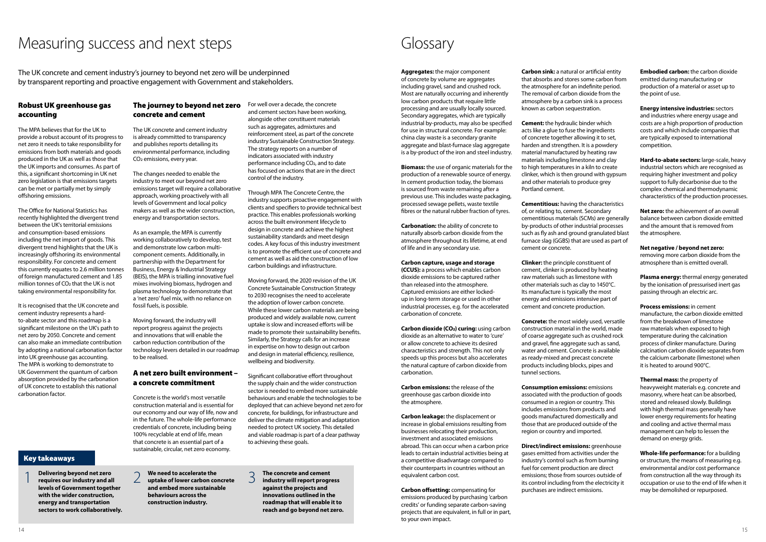**Aggregates:** the major component of concrete by volume are aggregates including gravel, sand and crushed rock. Most are naturally occurring and inherently low carbon products that require little processing and are usually locally sourced. Secondary aggregates, which are typically industrial by-products, may also be specified for use in structural concrete. For example: china clay waste is a secondary granite aggregate and blast-furnace slag aggregate is a by-product of the iron and steel industry.

**Biomass:** the use of organic materials for the production of a renewable source of energy. In cement production today, the biomass is sourced from waste remaining after a previous use. This includes waste packaging, processed sewage pellets, waste textile fibres or the natural rubber fraction of tyres.

**Carbon dioxide (CO<sub>2</sub>) curing:** using carbon dioxide as an alternative to water to 'cure' or allow concrete to achieve its desired characteristics and strength. This not only speeds up this process but also accelerates the natural capture of carbon dioxide from carbonation.

**Carbonation:** the ability of concrete to naturally absorb carbon dioxide from the atmosphere throughout its lifetime, at end of life and in any secondary use.

#### **Carbon capture, usage and storage**

**(CCUS):** a process which enables carbon dioxide emissions to be captured rather than released into the atmosphere. Captured emissions are either lockedup in long-term storage or used in other industrial processes, e.g. for the accelerated carbonation of concrete.

**Carbon emissions:** the release of the greenhouse gas carbon dioxide into the atmosphere.

**Carbon leakage:** the displacement or increase in global emissions resulting from businesses relocating their production, investment and associated emissions abroad. This can occur when a carbon price leads to certain industrial activities being at a competitive disadvantage compared to their counterparts in countries without an equivalent carbon cost.

**Carbon offsetting:** compensating for emissions produced by purchasing 'carbon credits' or funding separate carbon-saving projects that are equivalent, in full or in part, to your own impact.

**Carbon sink:** a natural or artificial entity that absorbs and stores some carbon from the atmosphere for an indefinite period. The removal of carbon dioxide from the atmosphere by a carbon sink is a process known as carbon sequestration.

**Cement:** the hydraulic binder which acts like a glue to fuse the ingredients of concrete together allowing it to set, harden and strengthen. It is a powdery material manufactured by heating raw materials including limestone and clay to high temperatures in a kiln to create clinker, which is then ground with gypsum and other materials to produce grey Portland cement.

**Cementitious:** having the characteristics of, or relating to, cement. Secondary cementitious materials (SCMs) are generally by-products of other industrial processes such as fly ash and ground granulated blast furnace slag (GGBS) that are used as part of cement or concrete.

**Clinker:** the principle constituent of cement, clinker is produced by heating raw materials such as limestone with other materials such as clay to 1450°C. Its manufacture is typically the most energy and emissions intensive part of cement and concrete production.

**Concrete:** the most widely used, versatile construction material in the world, made of coarse aggregate such as crushed rock and gravel, fine aggregate such as sand, water and cement. Concrete is available as ready-mixed and precast concrete products including blocks, pipes and tunnel sections.

**Consumption emissions:** emissions associated with the production of goods consumed in a region or country. This includes emissions from products and goods manufactured domestically and those that are produced outside of the region or country and imported.

**Direct/indirect emissions:** greenhouse gases emitted from activities under the industry's control such as from burning fuel for cement production are direct emissions; those from sources outside of its control including from the electricity it purchases are indirect emissions.

**Embodied carbon:** the carbon dioxide emitted during manufacturing or production of a material or asset up to the point of use.

**Energy intensive industries:** sectors and industries where energy usage and costs are a high proportion of production costs and which include companies that are typically exposed to international competition.

**Hard-to-abate sectors:** large-scale, heavy industrial sectors which are recognised as requiring higher investment and policy support to fully decarbonise due to the complex chemical and thermodynamic characteristics of the production processes.

**Net zero:** the achievement of an overall balance between carbon dioxide emitted and the amount that is removed from the atmosphere.

**Net negative / beyond net zero:** removing more carbon dioxide from the atmosphere than is emitted overall.

**Plasma energy:** thermal energy generated by the ionisation of pressurised inert gas passing through an electric arc.

**Process emissions:** in cement manufacture, the carbon dioxide emitted from the breakdown of limestone raw materials when exposed to high temperature during the calcination process of clinker manufacture. During calcination carbon dioxide separates from the calcium carbonate (limestone) when it is heated to around 900°C.

**Thermal mass:** the property of heavyweight materials e.g. concrete and masonry, where heat can be absorbed, stored and released slowly. Buildings with high thermal mass generally have lower energy requirements for heating and cooling and active thermal mass management can help to lessen the demand on energy grids.

**Whole-life performance:** for a building or structure, the means of measuring e.g. environmental and/or cost performance from construction all the way through its occupation or use to the end of life when it may be demolished or repurposed.

# Glossary

#### Robust UK greenhouse gas accounting

The MPA believes that for the UK to provide a robust account of its progress to net zero it needs to take responsibility for emissions from both materials and goods produced in the UK as well as those that the UK imports and consumes. As part of this, a significant shortcoming in UK net zero legislation is that emissions targets can be met or partially met by simply offshoring emissions.

The Office for National Statistics has recently highlighted the divergent trend between the UK's territorial emissions and consumption-based emissions including the net import of goods. This divergent trend highlights that the UK is increasingly offshoring its environmental responsibility. For concrete and cement this currently equates to 2.6 million tonnes of foreign manufactured cement and 1.85 million tonnes of CO2 that the UK is not taking environmental responsibility for.

It is recognised that the UK concrete and cement industry represents a hardto-abate sector and this roadmap is a significant milestone on the UK's path to net zero by 2050. Concrete and cement can also make an immediate contribution by adopting a national carbonation factor into UK greenhouse gas accounting. The MPA is working to demonstrate to UK Government the quantum of carbon absorption provided by the carbonation of UK concrete to establish this national carbonation factor.

### The journey to beyond net zero concrete and cement

The UK concrete and cement industry is already committed to transparency and publishes reports detailing its environmental performance, including CO2 emissions, every year.

The changes needed to enable the industry to meet our beyond net zero emissions target will require a collaborative approach, working proactively with all levels of Government and local policy makers as well as the wider construction, energy and transportation sectors.

As an example, the MPA is currently working collaboratively to develop, test and demonstrate low carbon multicomponent cements. Additionally, in partnership with the Department for Business, Energy & Industrial Strategy (BEIS), the MPA is trialling innovative fuel mixes involving biomass, hydrogen and plasma technology to demonstrate that a 'net zero' fuel mix, with no reliance on fossil fuels, is possible.

Moving forward, the industry will report progress against the projects and innovations that will enable the carbon reduction contribution of the technology levers detailed in our roadmap to be realised.

#### A net zero built environment – a concrete commitment

Concrete is the world's most versatile construction material and is essential for our economy and our way of life, now and in the future. The whole-life performance credentials of concrete, including being 100% recyclable at end of life, mean that concrete is an essential part of a sustainable, circular, net zero economy.

For well over a decade, the concrete and cement sectors have been working, alongside other constituent materials such as aggregates, admixtures and reinforcement steel, as part of the concrete industry Sustainable Construction Strategy. The strategy reports on a number of indicators associated with industry performance including CO2, and to date has focused on actions that are in the direct control of the industry.

Through MPA The Concrete Centre, the industry supports proactive engagement with clients and specifiers to provide technical best practice. This enables professionals working across the built environment lifecycle to design in concrete and achieve the highest sustainability standards and meet design codes. A key focus of this industry investment is to promote the efficient use of concrete and cement as well as aid the construction of low carbon buildings and infrastructure.

Moving forward, the 2020 revision of the UK Concrete Sustainable Construction Strategy to 2030 recognises the need to accelerate the adoption of lower carbon concrete. While these lower carbon materials are being produced and widely available now, current uptake is slow and increased efforts will be made to promote their sustainability benefits. Similarly, the Strategy calls for an increase in expertise on how to design out carbon and design in material efficiency, resilience, wellbeing and biodiversity.

Significant collaborative effort throughout the supply chain and the wider construction sector is needed to embed more sustainable behaviours and enable the technologies to be deployed that can achieve beyond net zero for concrete, for buildings, for infrastructure and deliver the climate mitigation and adaptation needed to protect UK society. This detailed and viable roadmap is part of a clear pathway to achieving these goals.

# Measuring success and next steps

Key takeaways

1 **Delivering beyond net zero requires our industry and all levels of Government together with the wider construction, energy and transportation sectors to work collaboratively.** 2 **We need to accelerate the uptake of lower carbon concrete and embed more sustainable behaviours across the construction industry.**

3 **The concrete and cement industry will report progress against the projects and innovations outlined in the roadmap that will enable it to reach and go beyond net zero.**

The UK concrete and cement industry's journey to beyond net zero will be underpinned by transparent reporting and proactive engagement with Government and stakeholders.